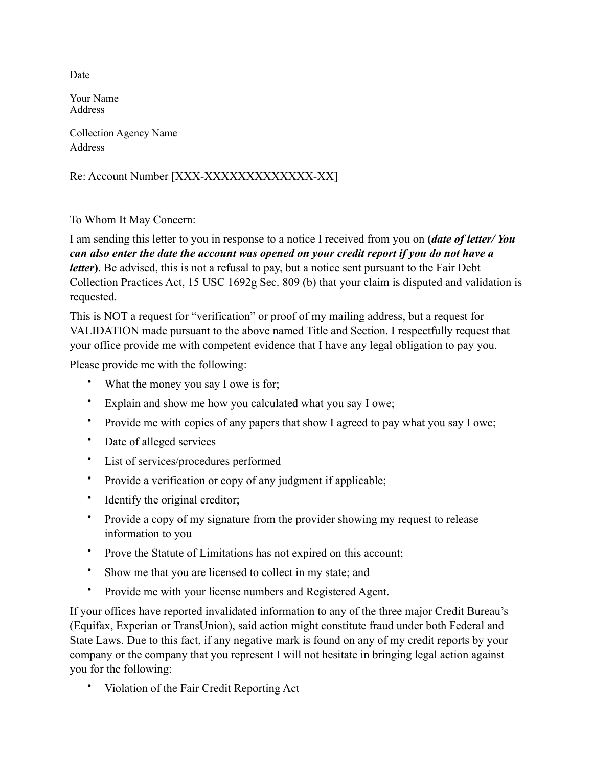Date

Your Name **Address** 

Collection Agency Name Address

Re: Account Number [XXX-XXXXXXXXXXXXX-XX]

To Whom It May Concern:

I am sending this letter to you in response to a notice I received from you on **(***date of letter/ You can also enter the date the account was opened on your credit report if you do not have a letter***)**. Be advised, this is not a refusal to pay, but a notice sent pursuant to the Fair Debt Collection Practices Act, 15 USC 1692g Sec. 809 (b) that your claim is disputed and validation is requested.

This is NOT a request for "verification" or proof of my mailing address, but a request for VALIDATION made pursuant to the above named Title and Section. I respectfully request that your office provide me with competent evidence that I have any legal obligation to pay you.

Please provide me with the following:

- What the money you say I owe is for;
- Explain and show me how you calculated what you say I owe;
- Provide me with copies of any papers that show I agreed to pay what you say I owe;
- Date of alleged services
- List of services/procedures performed
- Provide a verification or copy of any judgment if applicable;
- Identify the original creditor;
- Provide a copy of my signature from the provider showing my request to release information to you
- Prove the Statute of Limitations has not expired on this account;
- Show me that you are licensed to collect in my state; and
- Provide me with your license numbers and Registered Agent.

If your offices have reported invalidated information to any of the three major Credit Bureau's (Equifax, Experian or TransUnion), said action might constitute fraud under both Federal and State Laws. Due to this fact, if any negative mark is found on any of my credit reports by your company or the company that you represent I will not hesitate in bringing legal action against you for the following:

• Violation of the Fair Credit Reporting Act